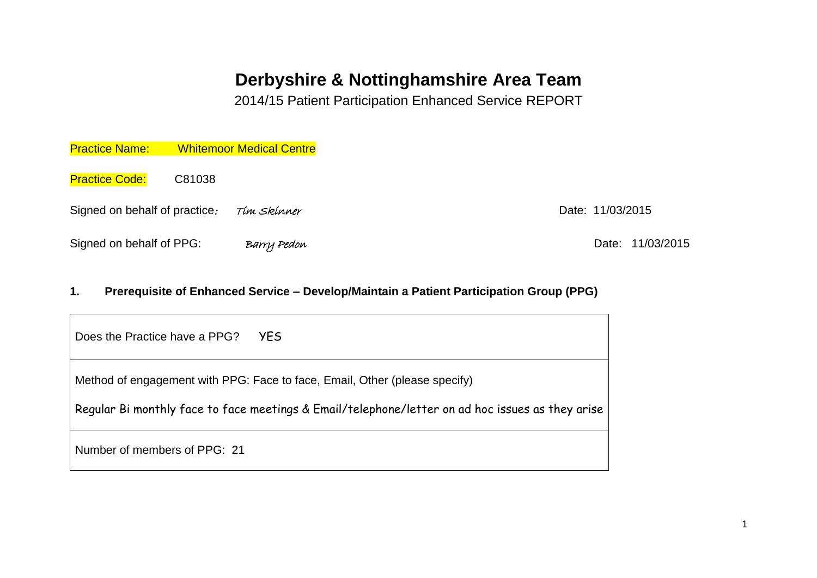# **Derbyshire & Nottinghamshire Area Team**

2014/15 Patient Participation Enhanced Service REPORT

| <b>Practice Name:</b>         | <b>Whitemoor Medical Centre</b> |                  |
|-------------------------------|---------------------------------|------------------|
| <b>Practice Code:</b>         | C81038                          |                  |
| Signed on behalf of practice. | Tím Skínner                     | Date: 11/03/2015 |
| Signed on behalf of PPG:      | Barry Pedon                     |                  |

# **1. Prerequisite of Enhanced Service – Develop/Maintain a Patient Participation Group (PPG)**

| Does the Practice have a PPG? | YES.                                                                                                                                                                           |
|-------------------------------|--------------------------------------------------------------------------------------------------------------------------------------------------------------------------------|
|                               | Method of engagement with PPG: Face to face, Email, Other (please specify)<br>Regular Bi monthly face to face meetings & Email/telephone/letter on ad hoc issues as they arise |
| Number of members of PPG: 21  |                                                                                                                                                                                |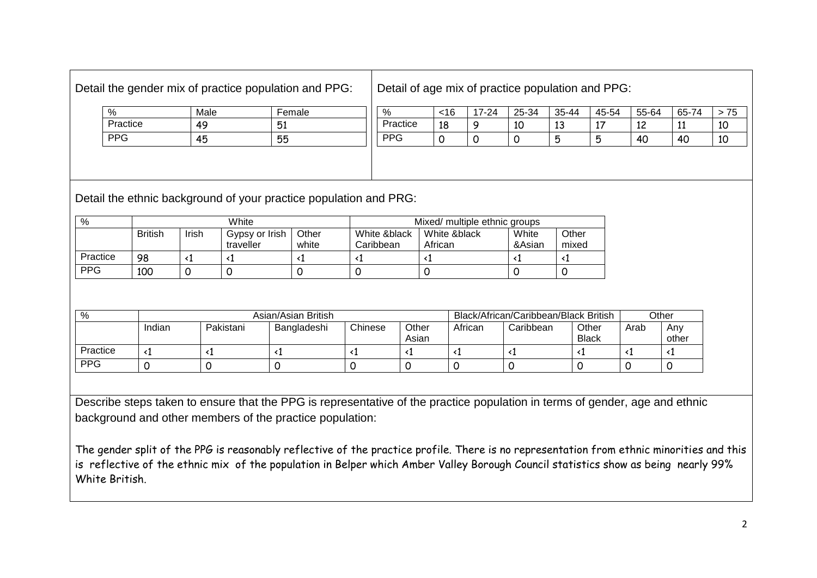Detail of age mix of practice population and PPG:

| %          | Male | Female |
|------------|------|--------|
| Practice   | 49   | 51     |
| <b>PPG</b> | 45   | 55     |

| %        | 16ء      | '-24 | 25-34         | 35-44        | 45-54  | 55-64       | 65-74 | ັບ |
|----------|----------|------|---------------|--------------|--------|-------------|-------|----|
| Practice | 10<br>10 |      | $1\cap$<br>τn | $\sim$<br>⊥∪ | . .    | $\sim$<br>ᆠ | --    | 10 |
| PPG      |          |      |               | Б<br>◡       | Б<br>٠ | 40          | 40    | 10 |

Detail the ethnic background of your practice population and PRG:

| %          |                |       | White                       |                |                           | Mixed/ multiple ethnic groups |                 |                |
|------------|----------------|-------|-----------------------------|----------------|---------------------------|-------------------------------|-----------------|----------------|
|            | <b>British</b> | Irish | Gypsy or Irish<br>traveller | Other<br>white | White &black<br>Caribbean | White &black<br>African       | White<br>&Asian | Other<br>mixed |
| Practice   | 98             |       |                             |                |                           |                               |                 |                |
| <b>PPG</b> | 100            |       |                             |                |                           |                               |                 |                |

| %          | Asian/Asian British          |           |             |         | Black/African/Caribbean/Black British |         |           | Other                 |      |              |
|------------|------------------------------|-----------|-------------|---------|---------------------------------------|---------|-----------|-----------------------|------|--------------|
|            | Indian                       | Pakistani | Bangladeshi | Chinese | Other<br>Asian                        | African | Caribbean | Other<br><b>Black</b> | Arab | Anv<br>other |
| Practice   | $\left\langle \right\rangle$ |           |             |         |                                       |         |           |                       |      |              |
| <b>PPG</b> |                              |           |             |         |                                       |         |           |                       |      |              |

Describe steps taken to ensure that the PPG is representative of the practice population in terms of gender, age and ethnic background and other members of the practice population:

The gender split of the PPG is reasonably reflective of the practice profile. There is no representation from ethnic minorities and this is reflective of the ethnic mix of the population in Belper which Amber Valley Borough Council statistics show as being nearly 99% White British.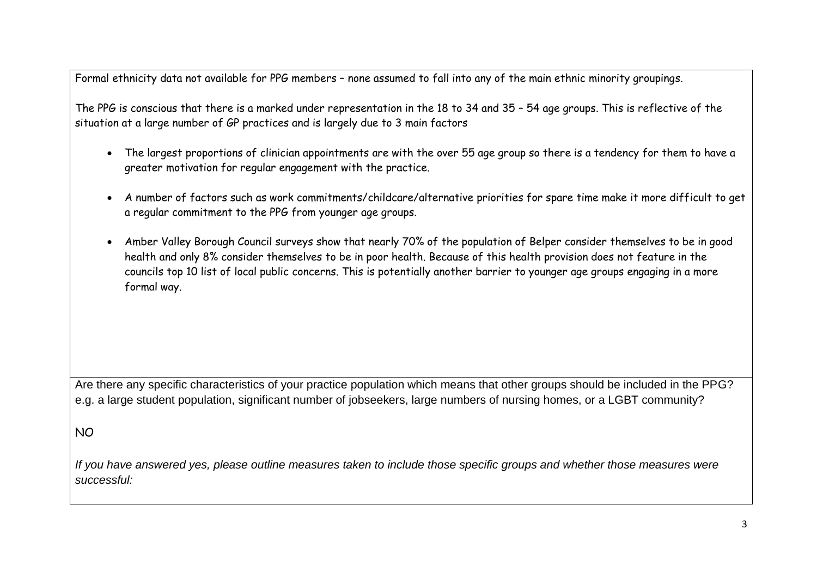Formal ethnicity data not available for PPG members – none assumed to fall into any of the main ethnic minority groupings.

The PPG is conscious that there is a marked under representation in the 18 to 34 and 35 – 54 age groups. This is reflective of the situation at a large number of GP practices and is largely due to 3 main factors

- The largest proportions of clinician appointments are with the over 55 age group so there is a tendency for them to have a greater motivation for regular engagement with the practice.
- A number of factors such as work commitments/childcare/alternative priorities for spare time make it more difficult to get a regular commitment to the PPG from younger age groups.
- Amber Valley Borough Council surveys show that nearly 70% of the population of Belper consider themselves to be in good health and only 8% consider themselves to be in poor health. Because of this health provision does not feature in the councils top 10 list of local public concerns. This is potentially another barrier to younger age groups engaging in a more formal way.

Are there any specific characteristics of your practice population which means that other groups should be included in the PPG? e.g. a large student population, significant number of jobseekers, large numbers of nursing homes, or a LGBT community?

## NO

*If you have answered yes, please outline measures taken to include those specific groups and whether those measures were successful:*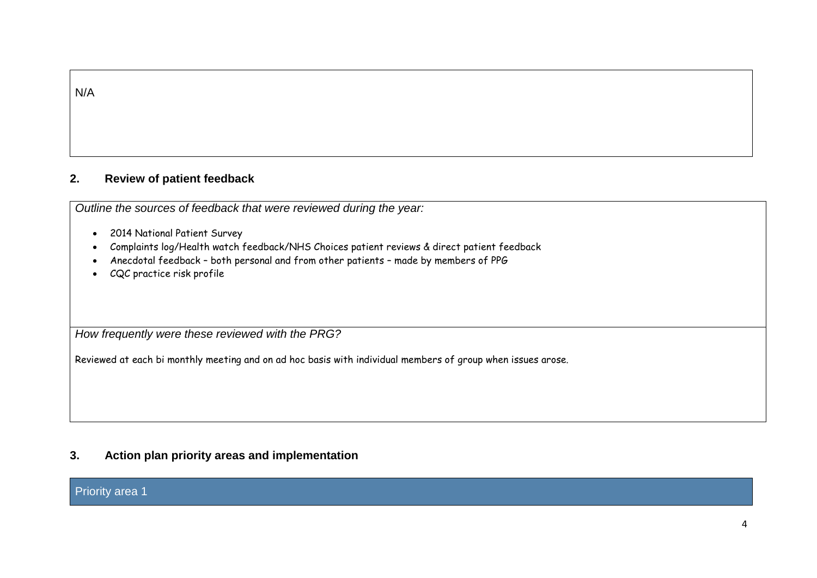|--|--|

# **2. Review of patient feedback**

*Outline the sources of feedback that were reviewed during the year:*

- 2014 National Patient Survey
- Complaints log/Health watch feedback/NHS Choices patient reviews & direct patient feedback
- Anecdotal feedback both personal and from other patients made by members of PPG
- CQC practice risk profile

*How frequently were these reviewed with the PRG?*

Reviewed at each bi monthly meeting and on ad hoc basis with individual members of group when issues arose.

## **3. Action plan priority areas and implementation**

#### Priority area 1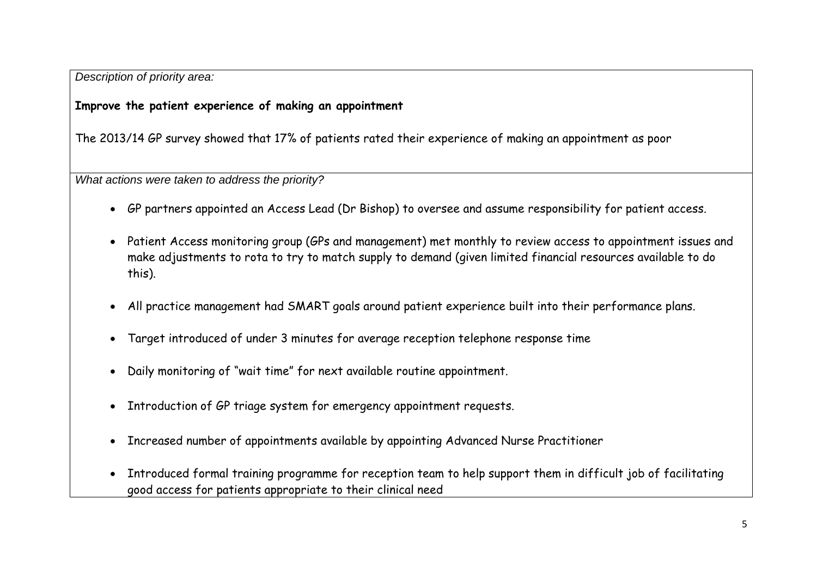*Description of priority area:*

# **Improve the patient experience of making an appointment**

The 2013/14 GP survey showed that 17% of patients rated their experience of making an appointment as poor

*What actions were taken to address the priority?*

- GP partners appointed an Access Lead (Dr Bishop) to oversee and assume responsibility for patient access.
- Patient Access monitoring group (GPs and management) met monthly to review access to appointment issues and make adjustments to rota to try to match supply to demand (given limited financial resources available to do this).
- All practice management had SMART goals around patient experience built into their performance plans.
- Target introduced of under 3 minutes for average reception telephone response time
- Daily monitoring of "wait time" for next available routine appointment.
- Introduction of GP triage system for emergency appointment requests.
- Increased number of appointments available by appointing Advanced Nurse Practitioner
- Introduced formal training programme for reception team to help support them in difficult job of facilitating good access for patients appropriate to their clinical need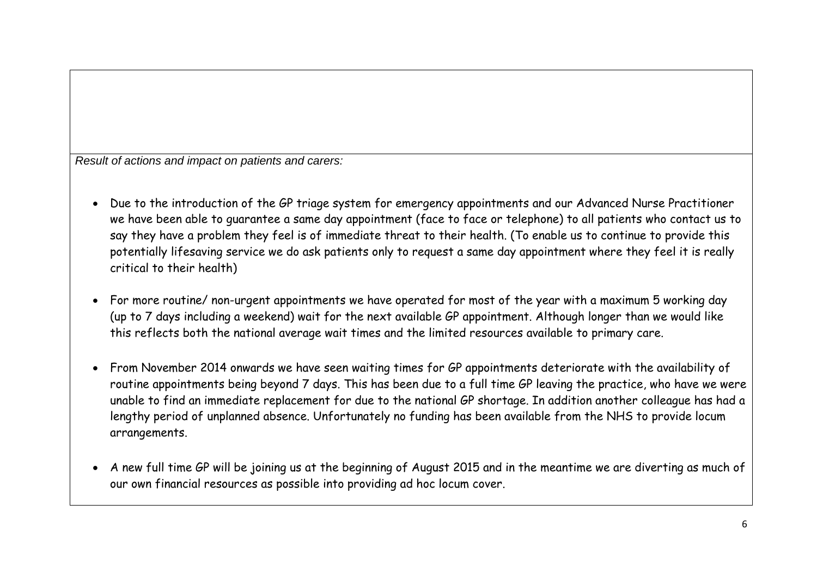*Result of actions and impact on patients and carers:*

- Due to the introduction of the GP triage system for emergency appointments and our Advanced Nurse Practitioner we have been able to guarantee a same day appointment (face to face or telephone) to all patients who contact us to say they have a problem they feel is of immediate threat to their health. (To enable us to continue to provide this potentially lifesaving service we do ask patients only to request a same day appointment where they feel it is really critical to their health)
- For more routine/ non-urgent appointments we have operated for most of the year with a maximum 5 working day (up to 7 days including a weekend) wait for the next available GP appointment. Although longer than we would like this reflects both the national average wait times and the limited resources available to primary care.
- From November 2014 onwards we have seen waiting times for GP appointments deteriorate with the availability of routine appointments being beyond 7 days. This has been due to a full time GP leaving the practice, who have we were unable to find an immediate replacement for due to the national GP shortage. In addition another colleague has had a lengthy period of unplanned absence. Unfortunately no funding has been available from the NHS to provide locum arrangements.
- A new full time GP will be joining us at the beginning of August 2015 and in the meantime we are diverting as much of our own financial resources as possible into providing ad hoc locum cover.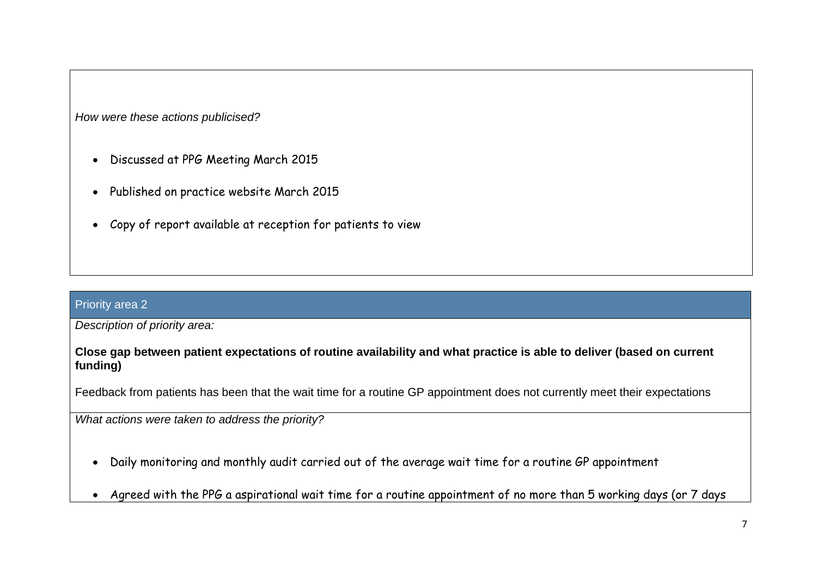*How were these actions publicised?*

- Discussed at PPG Meeting March 2015
- Published on practice website March 2015
- Copy of report available at reception for patients to view

#### Priority area 2

*Description of priority area:*

## **Close gap between patient expectations of routine availability and what practice is able to deliver (based on current funding)**

Feedback from patients has been that the wait time for a routine GP appointment does not currently meet their expectations

*What actions were taken to address the priority?*

- Daily monitoring and monthly audit carried out of the average wait time for a routine GP appointment
- Agreed with the PPG a aspirational wait time for a routine appointment of no more than 5 working days (or 7 days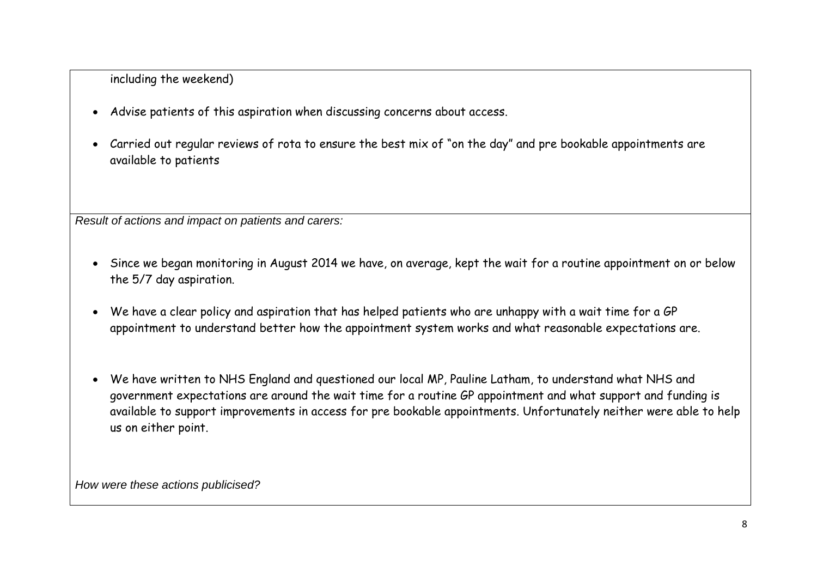including the weekend)

- Advise patients of this aspiration when discussing concerns about access.
- Carried out regular reviews of rota to ensure the best mix of "on the day" and pre bookable appointments are available to patients

*Result of actions and impact on patients and carers:*

- Since we began monitoring in August 2014 we have, on average, kept the wait for a routine appointment on or below the 5/7 day aspiration.
- We have a clear policy and aspiration that has helped patients who are unhappy with a wait time for a GP appointment to understand better how the appointment system works and what reasonable expectations are.
- We have written to NHS England and questioned our local MP, Pauline Latham, to understand what NHS and government expectations are around the wait time for a routine GP appointment and what support and funding is available to support improvements in access for pre bookable appointments. Unfortunately neither were able to help us on either point.

*How were these actions publicised?*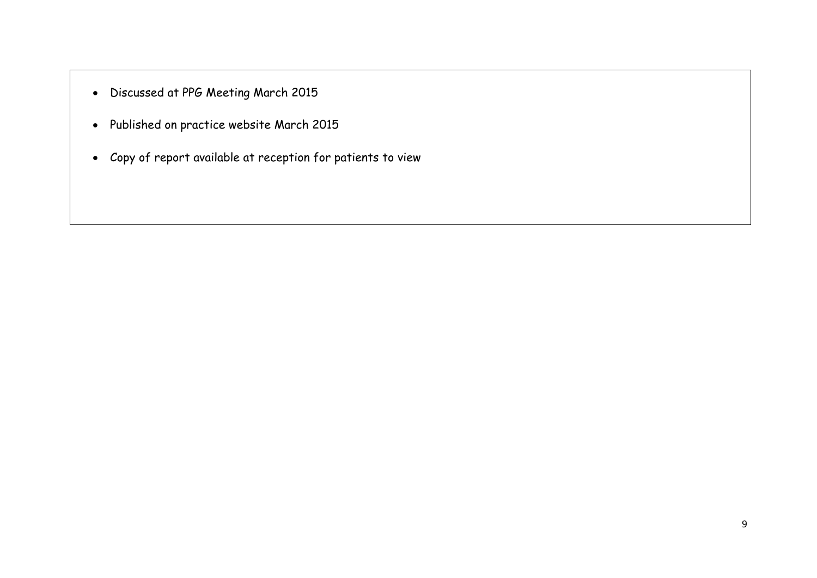- Discussed at PPG Meeting March 2015
- Published on practice website March 2015
- Copy of report available at reception for patients to view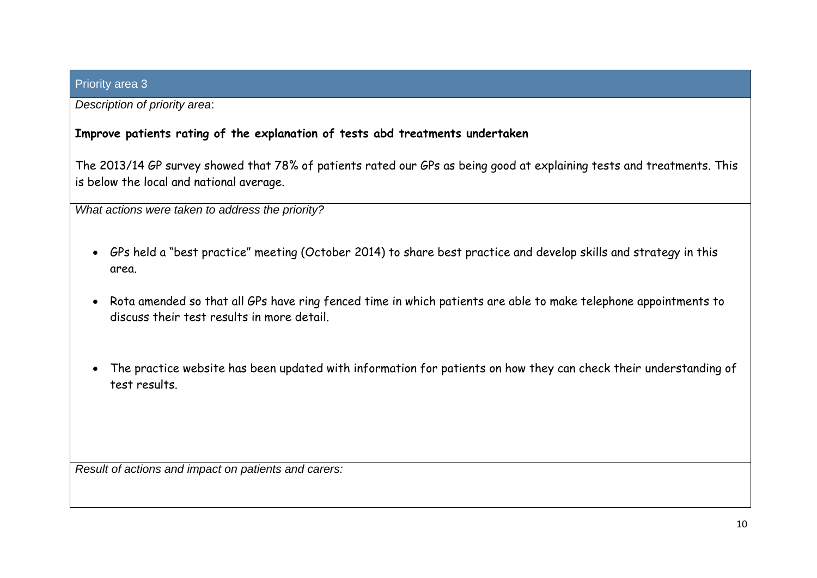## Priority area 3

*Description of priority area*:

# **Improve patients rating of the explanation of tests abd treatments undertaken**

The 2013/14 GP survey showed that 78% of patients rated our GPs as being good at explaining tests and treatments. This is below the local and national average.

*What actions were taken to address the priority?*

- GPs held a "best practice" meeting (October 2014) to share best practice and develop skills and strategy in this area.
- Rota amended so that all GPs have ring fenced time in which patients are able to make telephone appointments to discuss their test results in more detail.
- The practice website has been updated with information for patients on how they can check their understanding of test results.

*Result of actions and impact on patients and carers:*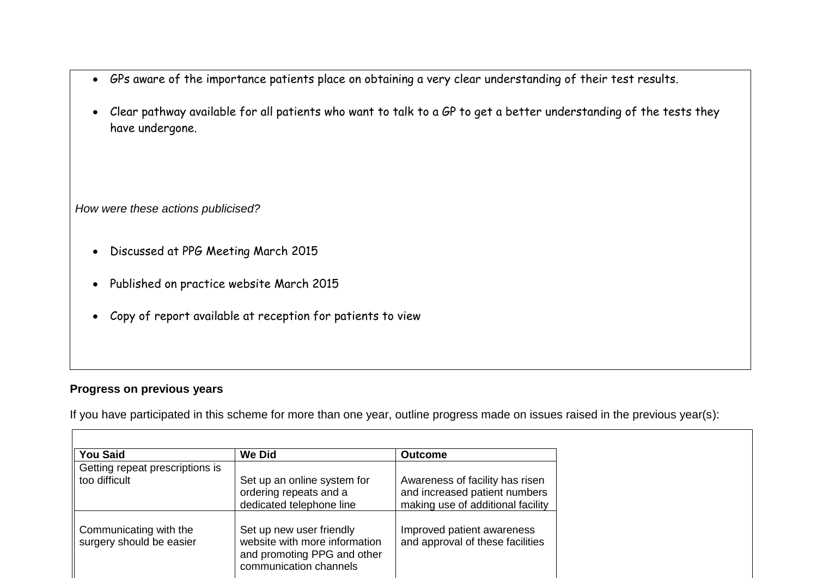- GPs aware of the importance patients place on obtaining a very clear understanding of their test results.
- Clear pathway available for all patients who want to talk to a GP to get a better understanding of the tests they have undergone.

*How were these actions publicised?*

- Discussed at PPG Meeting March 2015
- Published on practice website March 2015
- Copy of report available at reception for patients to view

## **Progress on previous years**

If you have participated in this scheme for more than one year, outline progress made on issues raised in the previous year(s):

| <b>You Said</b>                                    | <b>We Did</b>                                                                                                      | <b>Outcome</b>                                                                                        |
|----------------------------------------------------|--------------------------------------------------------------------------------------------------------------------|-------------------------------------------------------------------------------------------------------|
| Getting repeat prescriptions is                    |                                                                                                                    |                                                                                                       |
| too difficult                                      | Set up an online system for<br>ordering repeats and a<br>dedicated telephone line                                  | Awareness of facility has risen<br>and increased patient numbers<br>making use of additional facility |
| Communicating with the<br>surgery should be easier | Set up new user friendly<br>website with more information<br>and promoting PPG and other<br>communication channels | Improved patient awareness<br>and approval of these facilities                                        |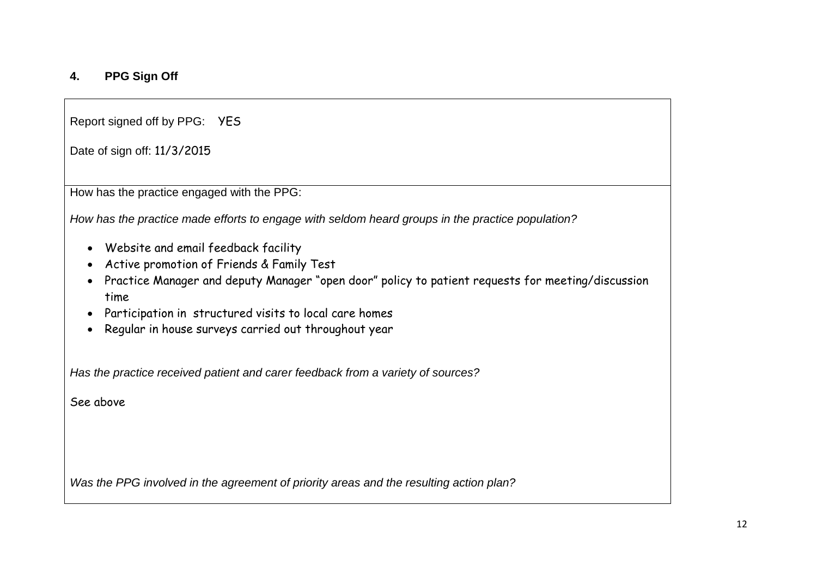# **4. PPG Sign Off**

Report signed off by PPG: YES

Date of sign off: 11/3/2015

How has the practice engaged with the PPG:

*How has the practice made efforts to engage with seldom heard groups in the practice population?*

- Website and email feedback facility
- Active promotion of Friends & Family Test
- Practice Manager and deputy Manager "open door" policy to patient requests for meeting/discussion time
- Participation in structured visits to local care homes
- Regular in house surveys carried out throughout year

*Has the practice received patient and carer feedback from a variety of sources?*

See above

*Was the PPG involved in the agreement of priority areas and the resulting action plan?*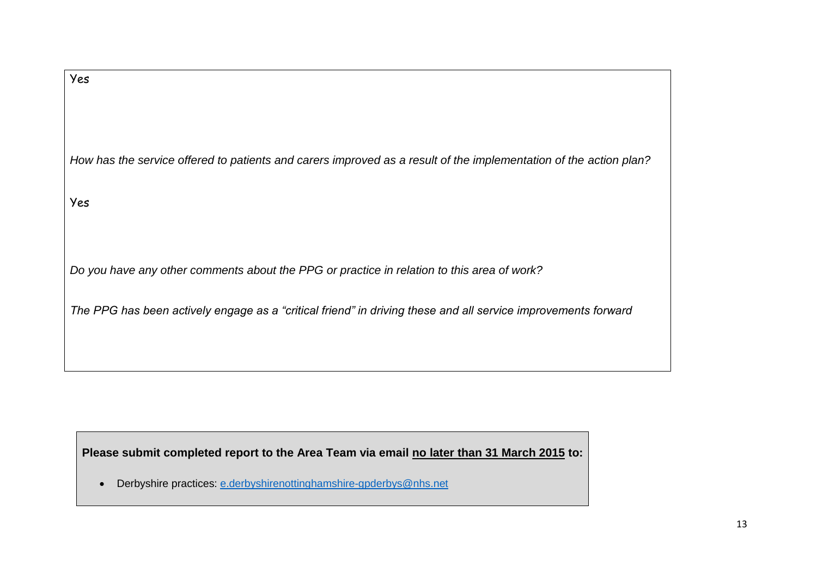Please submit completed report to the Area Team via email no later than 31 March 2015 to:

• Derbyshire practices: [e.derbyshirenottinghamshire-gpderbys@nhs.net](mailto:e.derbyshirenottinghamshire-gpderbys@nhs.net)